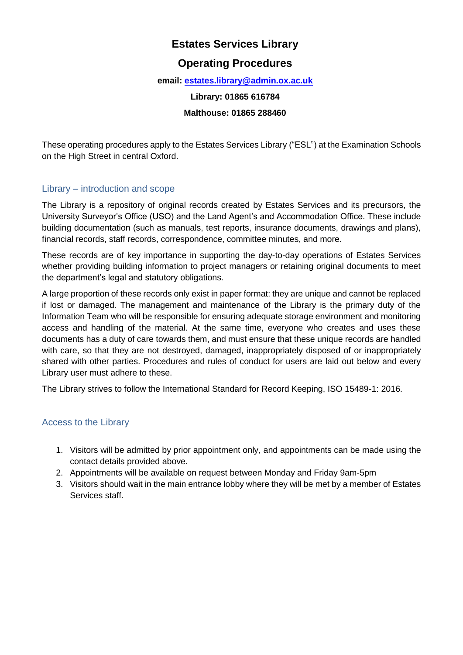# **Estates Services Library**

## **Operating Procedures**

#### **email: [estates.library@admin.ox.ac.uk](mailto:estates.library@admin.ox.ac.uk)**

#### **Library: 01865 616784**

#### **Malthouse: 01865 288460**

These operating procedures apply to the Estates Services Library ("ESL") at the Examination Schools on the High Street in central Oxford.

## Library – introduction and scope

The Library is a repository of original records created by Estates Services and its precursors, the University Surveyor's Office (USO) and the Land Agent's and Accommodation Office. These include building documentation (such as manuals, test reports, insurance documents, drawings and plans), financial records, staff records, correspondence, committee minutes, and more.

These records are of key importance in supporting the day-to-day operations of Estates Services whether providing building information to project managers or retaining original documents to meet the department's legal and statutory obligations.

A large proportion of these records only exist in paper format: they are unique and cannot be replaced if lost or damaged. The management and maintenance of the Library is the primary duty of the Information Team who will be responsible for ensuring adequate storage environment and monitoring access and handling of the material. At the same time, everyone who creates and uses these documents has a duty of care towards them, and must ensure that these unique records are handled with care, so that they are not destroyed, damaged, inappropriately disposed of or inappropriately shared with other parties. Procedures and rules of conduct for users are laid out below and every Library user must adhere to these.

The Library strives to follow the International Standard for Record Keeping, ISO 15489-1: 2016.

## Access to the Library

- 1. Visitors will be admitted by prior appointment only, and appointments can be made using the contact details provided above.
- 2. Appointments will be available on request between Monday and Friday 9am-5pm
- 3. Visitors should wait in the main entrance lobby where they will be met by a member of Estates Services staff.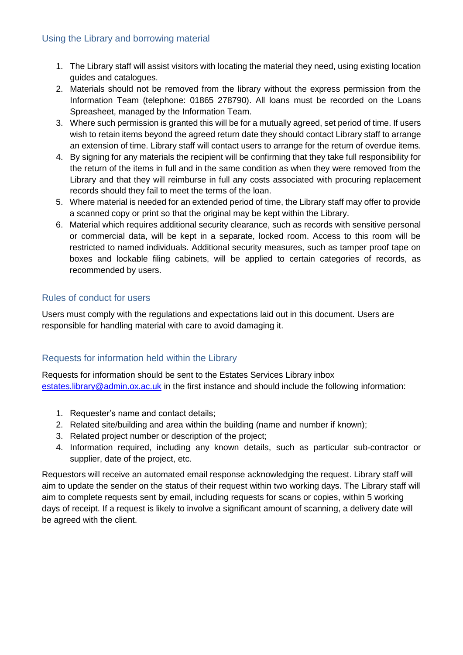#### Using the Library and borrowing material

- 1. The Library staff will assist visitors with locating the material they need, using existing location guides and catalogues.
- 2. Materials should not be removed from the library without the express permission from the Information Team (telephone: 01865 278790). All loans must be recorded on the Loans Spreasheet, managed by the Information Team.
- 3. Where such permission is granted this will be for a mutually agreed, set period of time. If users wish to retain items beyond the agreed return date they should contact Library staff to arrange an extension of time. Library staff will contact users to arrange for the return of overdue items.
- 4. By signing for any materials the recipient will be confirming that they take full responsibility for the return of the items in full and in the same condition as when they were removed from the Library and that they will reimburse in full any costs associated with procuring replacement records should they fail to meet the terms of the loan.
- 5. Where material is needed for an extended period of time, the Library staff may offer to provide a scanned copy or print so that the original may be kept within the Library.
- 6. Material which requires additional security clearance, such as records with sensitive personal or commercial data, will be kept in a separate, locked room. Access to this room will be restricted to named individuals. Additional security measures, such as tamper proof tape on boxes and lockable filing cabinets, will be applied to certain categories of records, as recommended by users.

## Rules of conduct for users

Users must comply with the regulations and expectations laid out in this document. Users are responsible for handling material with care to avoid damaging it.

## Requests for information held within the Library

Requests for information should be sent to the Estates Services Library inbox [estates.library@admin.ox.ac.uk](mailto:estates.library@admin.ox.ac.uk) in the first instance and should include the following information:

- 1. Requester's name and contact details;
- 2. Related site/building and area within the building (name and number if known);
- 3. Related project number or description of the project;
- 4. Information required, including any known details, such as particular sub-contractor or supplier, date of the project, etc.

Requestors will receive an automated email response acknowledging the request. Library staff will aim to update the sender on the status of their request within two working days. The Library staff will aim to complete requests sent by email, including requests for scans or copies, within 5 working days of receipt. If a request is likely to involve a significant amount of scanning, a delivery date will be agreed with the client.